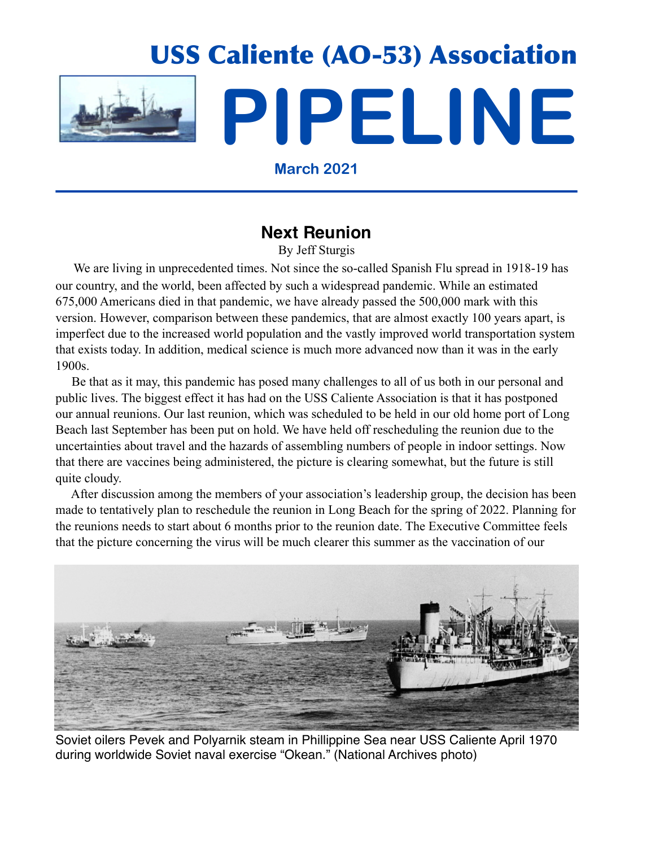

**March 2021**

## **Next Reunion**

By Jeff Sturgis

 We are living in unprecedented times. Not since the so-called Spanish Flu spread in 1918-19 has our country, and the world, been affected by such a widespread pandemic. While an estimated 675,000 Americans died in that pandemic, we have already passed the 500,000 mark with this version. However, comparison between these pandemics, that are almost exactly 100 years apart, is imperfect due to the increased world population and the vastly improved world transportation system that exists today. In addition, medical science is much more advanced now than it was in the early 1900s.

 Be that as it may, this pandemic has posed many challenges to all of us both in our personal and public lives. The biggest effect it has had on the USS Caliente Association is that it has postponed our annual reunions. Our last reunion, which was scheduled to be held in our old home port of Long Beach last September has been put on hold. We have held off rescheduling the reunion due to the uncertainties about travel and the hazards of assembling numbers of people in indoor settings. Now that there are vaccines being administered, the picture is clearing somewhat, but the future is still quite cloudy.

 After discussion among the members of your association's leadership group, the decision has been made to tentatively plan to reschedule the reunion in Long Beach for the spring of 2022. Planning for the reunions needs to start about 6 months prior to the reunion date. The Executive Committee feels that the picture concerning the virus will be much clearer this summer as the vaccination of our



Soviet oilers Pevek and Polyarnik steam in Phillippine Sea near USS Caliente April 1970 during worldwide Soviet naval exercise "Okean." (National Archives photo)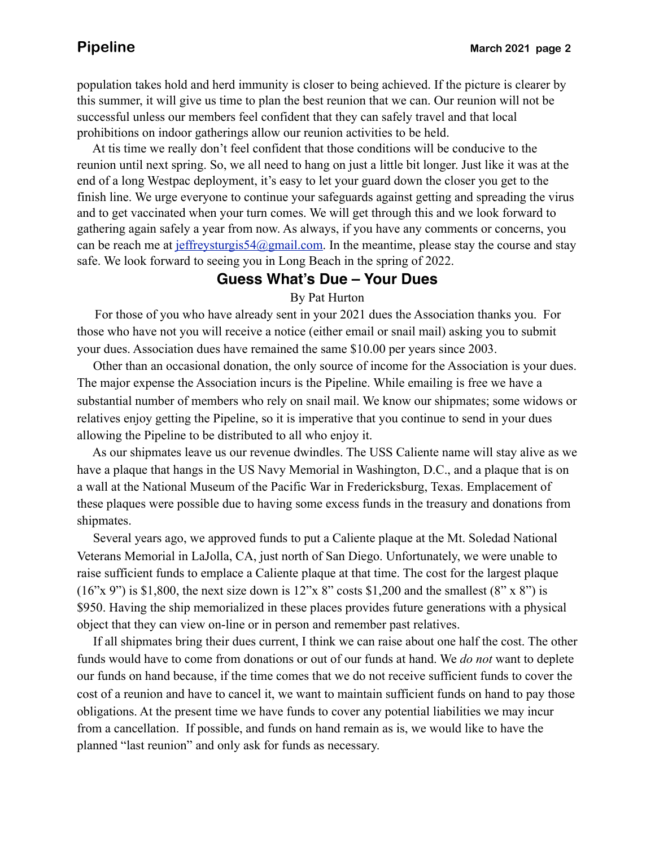population takes hold and herd immunity is closer to being achieved. If the picture is clearer by this summer, it will give us time to plan the best reunion that we can. Our reunion will not be successful unless our members feel confident that they can safely travel and that local prohibitions on indoor gatherings allow our reunion activities to be held.

 At tis time we really don't feel confident that those conditions will be conducive to the reunion until next spring. So, we all need to hang on just a little bit longer. Just like it was at the end of a long Westpac deployment, it's easy to let your guard down the closer you get to the finish line. We urge everyone to continue your safeguards against getting and spreading the virus and to get vaccinated when your turn comes. We will get through this and we look forward to gathering again safely a year from now. As always, if you have any comments or concerns, you can be reach me at  $j$ effreysturgis54@gmail.com. In the meantime, please stay the course and stay safe. We look forward to seeing you in Long Beach in the spring of 2022.

### **Guess What's Due – Your Dues**

### By Pat Hurton

 For those of you who have already sent in your 2021 dues the Association thanks you. For those who have not you will receive a notice (either email or snail mail) asking you to submit your dues. Association dues have remained the same \$10.00 per years since 2003.

 Other than an occasional donation, the only source of income for the Association is your dues. The major expense the Association incurs is the Pipeline. While emailing is free we have a substantial number of members who rely on snail mail. We know our shipmates; some widows or relatives enjoy getting the Pipeline, so it is imperative that you continue to send in your dues allowing the Pipeline to be distributed to all who enjoy it.

 As our shipmates leave us our revenue dwindles. The USS Caliente name will stay alive as we have a plaque that hangs in the US Navy Memorial in Washington, D.C., and a plaque that is on a wall at the National Museum of the Pacific War in Fredericksburg, Texas. Emplacement of these plaques were possible due to having some excess funds in the treasury and donations from shipmates.

 Several years ago, we approved funds to put a Caliente plaque at the Mt. Soledad National Veterans Memorial in LaJolla, CA, just north of San Diego. Unfortunately, we were unable to raise sufficient funds to emplace a Caliente plaque at that time. The cost for the largest plaque  $(16"x 9"')$  is \$1,800, the next size down is 12"x 8" costs \$1,200 and the smallest  $(8"x 8"')$  is \$950. Having the ship memorialized in these places provides future generations with a physical object that they can view on-line or in person and remember past relatives.

 If all shipmates bring their dues current, I think we can raise about one half the cost. The other funds would have to come from donations or out of our funds at hand. We *do not* want to deplete our funds on hand because, if the time comes that we do not receive sufficient funds to cover the cost of a reunion and have to cancel it, we want to maintain sufficient funds on hand to pay those obligations. At the present time we have funds to cover any potential liabilities we may incur from a cancellation. If possible, and funds on hand remain as is, we would like to have the planned "last reunion" and only ask for funds as necessary.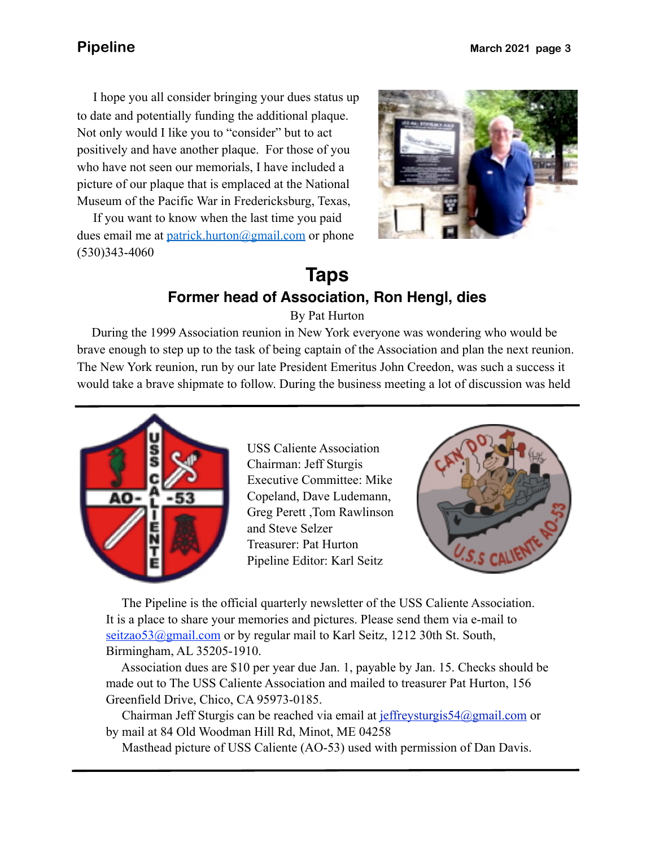picture of our plaque that is emplaced at the National I hope you all consider bringing your dues status up to date and potentially funding the additional plaque. Not only would I like you to "consider" but to act positively and have another plaque. For those of you who have not seen our memorials, I have included a Museum of the Pacific War in Fredericksburg, Texas,

 If you want to know when the last time you paid dues email me at [patrick.hurton@gmail.com](mailto:patrick.hurton@gmail.com) or phone (530)343-4060



# **Taps Former head of Association, Ron Hengl, dies**

By Pat Hurton

 During the 1999 Association reunion in New York everyone was wondering who would be brave enough to step up to the task of being captain of the Association and plan the next reunion. The New York reunion, run by our late President Emeritus John Creedon, was such a success it would take a brave shipmate to follow. During the business meeting a lot of discussion was held



USS Caliente Association Chairman: Jeff Sturgis Executive Committee: Mike Copeland, Dave Ludemann, Greg Perett ,Tom Rawlinson and Steve Selzer Treasurer: Pat Hurton Pipeline Editor: Karl Seitz



 The Pipeline is the official quarterly newsletter of the USS Caliente Association. It is a place to share your memories and pictures. Please send them via e-mail to seitzao53@gmail.com or by regular mail to Karl Seitz, 1212 30th St. South, Birmingham, AL 35205-1910.

 Association dues are \$10 per year due Jan. 1, payable by Jan. 15. Checks should be made out to The USS Caliente Association and mailed to treasurer Pat Hurton, 156 Greenfield Drive, Chico, CA 95973-0185.

 Chairman Jeff Sturgis can be reached via email at [jeffreysturgis54@gmail.com](mailto:jeffreysturgis54@gmail.com) or by mail at 84 Old Woodman Hill Rd, Minot, ME 04258

Masthead picture of USS Caliente (AO-53) used with permission of Dan Davis.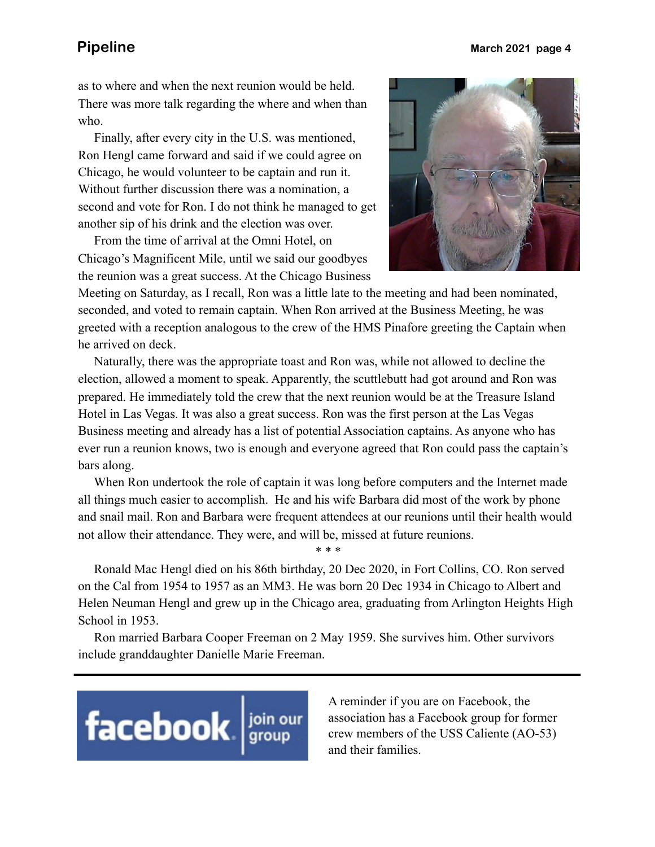as to where and when the next reunion would be held. There was more talk regarding the where and when than who.

 Finally, after every city in the U.S. was mentioned, Ron Hengl came forward and said if we could agree on Chicago, he would volunteer to be captain and run it. Without further discussion there was a nomination, a second and vote for Ron. I do not think he managed to get another sip of his drink and the election was over.

 From the time of arrival at the Omni Hotel, on Chicago's Magnificent Mile, until we said our goodbyes the reunion was a great success. At the Chicago Business



Meeting on Saturday, as I recall, Ron was a little late to the meeting and had been nominated, seconded, and voted to remain captain. When Ron arrived at the Business Meeting, he was greeted with a reception analogous to the crew of the HMS Pinafore greeting the Captain when he arrived on deck.

 Naturally, there was the appropriate toast and Ron was, while not allowed to decline the election, allowed a moment to speak. Apparently, the scuttlebutt had got around and Ron was prepared. He immediately told the crew that the next reunion would be at the Treasure Island Hotel in Las Vegas. It was also a great success. Ron was the first person at the Las Vegas Business meeting and already has a list of potential Association captains. As anyone who has ever run a reunion knows, two is enough and everyone agreed that Ron could pass the captain's bars along.

 When Ron undertook the role of captain it was long before computers and the Internet made all things much easier to accomplish. He and his wife Barbara did most of the work by phone and snail mail. Ron and Barbara were frequent attendees at our reunions until their health would not allow their attendance. They were, and will be, missed at future reunions.

\* \* \*

 Ronald Mac Hengl died on his 86th birthday, 20 Dec 2020, in Fort Collins, CO. Ron served on the Cal from 1954 to 1957 as an MM3. He was born 20 Dec 1934 in Chicago to Albert and Helen Neuman Hengl and grew up in the Chicago area, graduating from Arlington Heights High School in 1953.

 Ron married Barbara Cooper Freeman on 2 May 1959. She survives him. Other survivors include granddaughter Danielle Marie Freeman.



A reminder if you are on Facebook, the association has a Facebook group for former crew members of the USS Caliente (AO-53) and their families.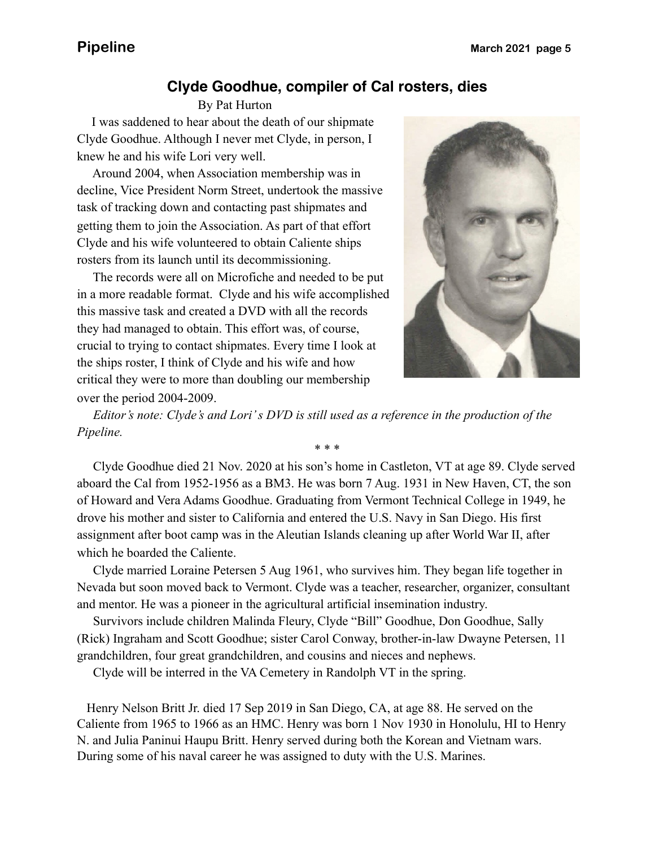### **Clyde Goodhue, compiler of Cal rosters, dies**

By Pat Hurton

 I was saddened to hear about the death of our shipmate Clyde Goodhue. Although I never met Clyde, in person, I knew he and his wife Lori very well.

 Around 2004, when Association membership was in decline, Vice President Norm Street, undertook the massive task of tracking down and contacting past shipmates and getting them to join the Association. As part of that effort Clyde and his wife volunteered to obtain Caliente ships rosters from its launch until its decommissioning.

 The records were all on Microfiche and needed to be put in a more readable format. Clyde and his wife accomplished this massive task and created a DVD with all the records they had managed to obtain. This effort was, of course, crucial to trying to contact shipmates. Every time I look at the ships roster, I think of Clyde and his wife and how critical they were to more than doubling our membership over the period 2004-2009.



 *Editor's note: Clyde's and Lori' s DVD is still used as a reference in the production of the Pipeline.*

 Clyde Goodhue died 21 Nov. 2020 at his son's home in Castleton, VT at age 89. Clyde served aboard the Cal from 1952-1956 as a BM3. He was born 7 Aug. 1931 in New Haven, CT, the son of Howard and Vera Adams Goodhue. Graduating from Vermont Technical College in 1949, he drove his mother and sister to California and entered the U.S. Navy in San Diego. His first assignment after boot camp was in the Aleutian Islands cleaning up after World War II, after which he boarded the Caliente.

\* \* \*

 Clyde married Loraine Petersen 5 Aug 1961, who survives him. They began life together in Nevada but soon moved back to Vermont. Clyde was a teacher, researcher, organizer, consultant and mentor. He was a pioneer in the agricultural artificial insemination industry.

 Survivors include children Malinda Fleury, Clyde "Bill" Goodhue, Don Goodhue, Sally (Rick) Ingraham and Scott Goodhue; sister Carol Conway, brother-in-law Dwayne Petersen, 11 grandchildren, four great grandchildren, and cousins and nieces and nephews.

Clyde will be interred in the VA Cemetery in Randolph VT in the spring.

 Henry Nelson Britt Jr. died 17 Sep 2019 in San Diego, CA, at age 88. He served on the Caliente from 1965 to 1966 as an HMC. Henry was born 1 Nov 1930 in Honolulu, HI to Henry N. and Julia Paninui Haupu Britt. Henry served during both the Korean and Vietnam wars. During some of his naval career he was assigned to duty with the U.S. Marines.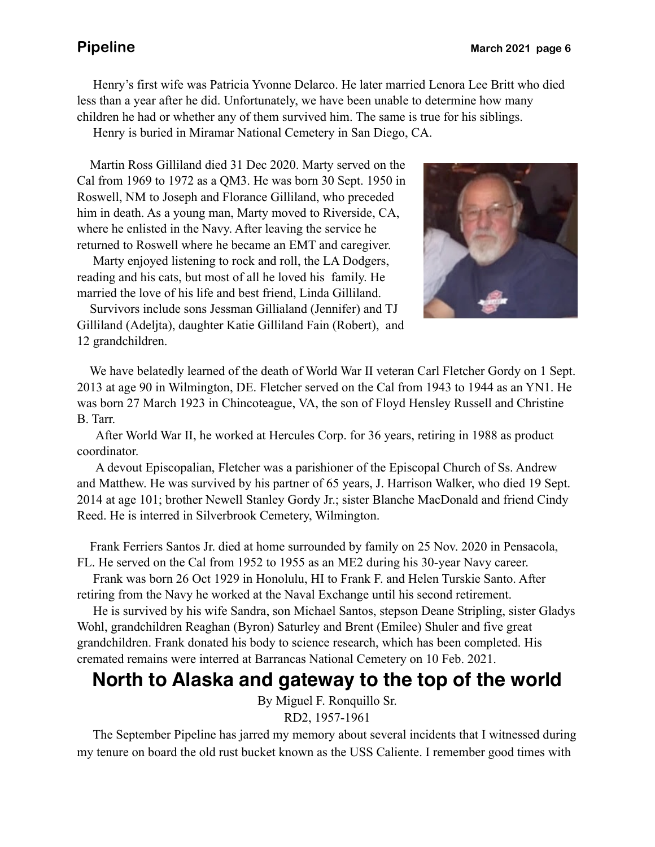Henry's first wife was Patricia Yvonne Delarco. He later married Lenora Lee Britt who died less than a year after he did. Unfortunately, we have been unable to determine how many children he had or whether any of them survived him. The same is true for his siblings.

Henry is buried in Miramar National Cemetery in San Diego, CA.

 Martin Ross Gilliland died 31 Dec 2020. Marty served on the Cal from 1969 to 1972 as a QM3. He was born 30 Sept. 1950 in Roswell, NM to Joseph and Florance Gilliland, who preceded him in death. As a young man, Marty moved to Riverside, CA, where he enlisted in the Navy. After leaving the service he returned to Roswell where he became an EMT and caregiver.

 Marty enjoyed listening to rock and roll, the LA Dodgers, reading and his cats, but most of all he loved his family. He married the love of his life and best friend, Linda Gilliland.

 Survivors include sons Jessman Gillialand (Jennifer) and TJ Gilliland (Adeljta), daughter Katie Gilliland Fain (Robert), and 12 grandchildren.



 We have belatedly learned of the death of World War II veteran Carl Fletcher Gordy on 1 Sept. 2013 at age 90 in Wilmington, DE. Fletcher served on the Cal from 1943 to 1944 as an YN1. He was born 27 March 1923 in Chincoteague, VA, the son of Floyd Hensley Russell and Christine B. Tarr.

 After World War II, he worked at Hercules Corp. for 36 years, retiring in 1988 as product coordinator.

 A devout Episcopalian, Fletcher was a parishioner of the Episcopal Church of Ss. Andrew and Matthew. He was survived by his partner of 65 years, J. Harrison Walker, who died 19 Sept. 2014 at age 101; brother Newell Stanley Gordy Jr.; sister Blanche MacDonald and friend Cindy Reed. He is interred in Silverbrook Cemetery, Wilmington.

 Frank Ferriers Santos Jr. died at home surrounded by family on 25 Nov. 2020 in Pensacola, FL. He served on the Cal from 1952 to 1955 as an ME2 during his 30-year Navy career.

 Frank was born 26 Oct 1929 in Honolulu, HI to Frank F. and Helen Turskie Santo. After retiring from the Navy he worked at the Naval Exchange until his second retirement.

 He is survived by his wife Sandra, son Michael Santos, stepson Deane Stripling, sister Gladys Wohl, grandchildren Reaghan (Byron) Saturley and Brent (Emilee) Shuler and five great grandchildren. Frank donated his body to science research, which has been completed. His cremated remains were interred at Barrancas National Cemetery on 10 Feb. 2021.

# **North to Alaska and gateway to the top of the world**

By Miguel F. Ronquillo Sr.

RD2, 1957-1961

 The September Pipeline has jarred my memory about several incidents that I witnessed during my tenure on board the old rust bucket known as the USS Caliente. I remember good times with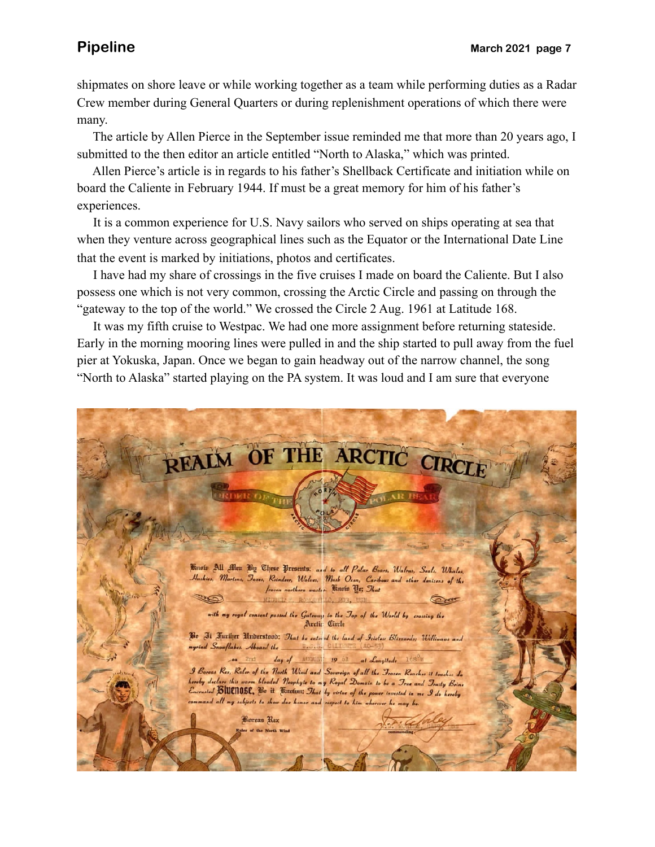shipmates on shore leave or while working together as a team while performing duties as a Radar Crew member during General Quarters or during replenishment operations of which there were many.

 The article by Allen Pierce in the September issue reminded me that more than 20 years ago, I submitted to the then editor an article entitled "North to Alaska," which was printed.

 Allen Pierce's article is in regards to his father's Shellback Certificate and initiation while on board the Caliente in February 1944. If must be a great memory for him of his father's experiences.

 It is a common experience for U.S. Navy sailors who served on ships operating at sea that when they venture across geographical lines such as the Equator or the International Date Line that the event is marked by initiations, photos and certificates.

 I have had my share of crossings in the five cruises I made on board the Caliente. But I also possess one which is not very common, crossing the Arctic Circle and passing on through the "gateway to the top of the world." We crossed the Circle 2 Aug. 1961 at Latitude 168.

 It was my fifth cruise to Westpac. We had one more assignment before returning stateside. Early in the morning mooring lines were pulled in and the ship started to pull away from the fuel pier at Yokuska, Japan. Once we began to gain headway out of the narrow channel, the song "North to Alaska" started playing on the PA system. It was loud and I am sure that everyone

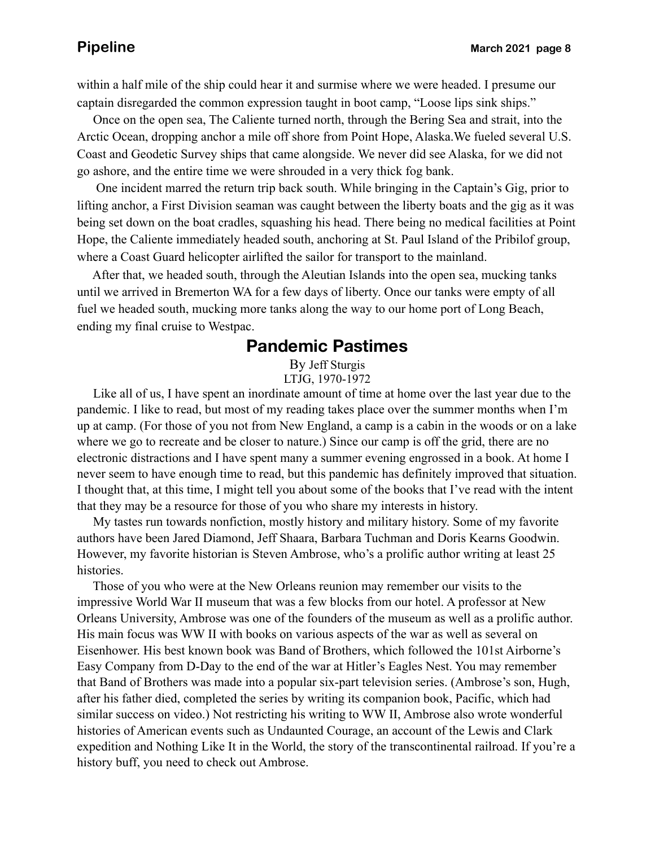within a half mile of the ship could hear it and surmise where we were headed. I presume our captain disregarded the common expression taught in boot camp, "Loose lips sink ships."

 Once on the open sea, The Caliente turned north, through the Bering Sea and strait, into the Arctic Ocean, dropping anchor a mile off shore from Point Hope, Alaska.We fueled several U.S. Coast and Geodetic Survey ships that came alongside. We never did see Alaska, for we did not go ashore, and the entire time we were shrouded in a very thick fog bank.

 One incident marred the return trip back south. While bringing in the Captain's Gig, prior to lifting anchor, a First Division seaman was caught between the liberty boats and the gig as it was being set down on the boat cradles, squashing his head. There being no medical facilities at Point Hope, the Caliente immediately headed south, anchoring at St. Paul Island of the Pribilof group, where a Coast Guard helicopter airlifted the sailor for transport to the mainland.

 After that, we headed south, through the Aleutian Islands into the open sea, mucking tanks until we arrived in Bremerton WA for a few days of liberty. Once our tanks were empty of all fuel we headed south, mucking more tanks along the way to our home port of Long Beach, ending my final cruise to Westpac.

### **Pandemic Pastimes**

By Jeff Sturgis LTJG, 1970-1972

 Like all of us, I have spent an inordinate amount of time at home over the last year due to the pandemic. I like to read, but most of my reading takes place over the summer months when I'm up at camp. (For those of you not from New England, a camp is a cabin in the woods or on a lake where we go to recreate and be closer to nature.) Since our camp is off the grid, there are no electronic distractions and I have spent many a summer evening engrossed in a book. At home I never seem to have enough time to read, but this pandemic has definitely improved that situation. I thought that, at this time, I might tell you about some of the books that I've read with the intent that they may be a resource for those of you who share my interests in history.

 My tastes run towards nonfiction, mostly history and military history. Some of my favorite authors have been Jared Diamond, Jeff Shaara, Barbara Tuchman and Doris Kearns Goodwin. However, my favorite historian is Steven Ambrose, who's a prolific author writing at least 25 histories.

 Those of you who were at the New Orleans reunion may remember our visits to the impressive World War II museum that was a few blocks from our hotel. A professor at New Orleans University, Ambrose was one of the founders of the museum as well as a prolific author. His main focus was WW II with books on various aspects of the war as well as several on Eisenhower. His best known book was Band of Brothers, which followed the 101st Airborne's Easy Company from D-Day to the end of the war at Hitler's Eagles Nest. You may remember that Band of Brothers was made into a popular six-part television series. (Ambrose's son, Hugh, after his father died, completed the series by writing its companion book, Pacific, which had similar success on video.) Not restricting his writing to WW II, Ambrose also wrote wonderful histories of American events such as Undaunted Courage, an account of the Lewis and Clark expedition and Nothing Like It in the World, the story of the transcontinental railroad. If you're a history buff, you need to check out Ambrose.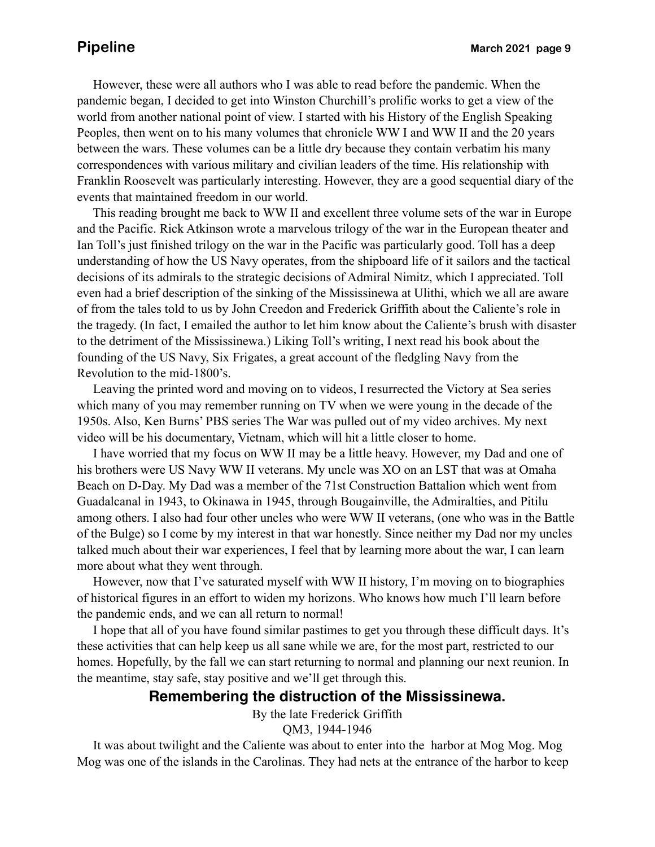However, these were all authors who I was able to read before the pandemic. When the pandemic began, I decided to get into Winston Churchill's prolific works to get a view of the world from another national point of view. I started with his History of the English Speaking Peoples, then went on to his many volumes that chronicle WW I and WW II and the 20 years between the wars. These volumes can be a little dry because they contain verbatim his many correspondences with various military and civilian leaders of the time. His relationship with Franklin Roosevelt was particularly interesting. However, they are a good sequential diary of the events that maintained freedom in our world.

 This reading brought me back to WW II and excellent three volume sets of the war in Europe and the Pacific. Rick Atkinson wrote a marvelous trilogy of the war in the European theater and Ian Toll's just finished trilogy on the war in the Pacific was particularly good. Toll has a deep understanding of how the US Navy operates, from the shipboard life of it sailors and the tactical decisions of its admirals to the strategic decisions of Admiral Nimitz, which I appreciated. Toll even had a brief description of the sinking of the Mississinewa at Ulithi, which we all are aware of from the tales told to us by John Creedon and Frederick Griffith about the Caliente's role in the tragedy. (In fact, I emailed the author to let him know about the Caliente's brush with disaster to the detriment of the Mississinewa.) Liking Toll's writing, I next read his book about the founding of the US Navy, Six Frigates, a great account of the fledgling Navy from the Revolution to the mid-1800's.

 Leaving the printed word and moving on to videos, I resurrected the Victory at Sea series which many of you may remember running on TV when we were young in the decade of the 1950s. Also, Ken Burns' PBS series The War was pulled out of my video archives. My next video will be his documentary, Vietnam, which will hit a little closer to home.

 I have worried that my focus on WW II may be a little heavy. However, my Dad and one of his brothers were US Navy WW II veterans. My uncle was XO on an LST that was at Omaha Beach on D-Day. My Dad was a member of the 71st Construction Battalion which went from Guadalcanal in 1943, to Okinawa in 1945, through Bougainville, the Admiralties, and Pitilu among others. I also had four other uncles who were WW II veterans, (one who was in the Battle of the Bulge) so I come by my interest in that war honestly. Since neither my Dad nor my uncles talked much about their war experiences, I feel that by learning more about the war, I can learn more about what they went through.

 However, now that I've saturated myself with WW II history, I'm moving on to biographies of historical figures in an effort to widen my horizons. Who knows how much I'll learn before the pandemic ends, and we can all return to normal!

 I hope that all of you have found similar pastimes to get you through these difficult days. It's these activities that can help keep us all sane while we are, for the most part, restricted to our homes. Hopefully, by the fall we can start returning to normal and planning our next reunion. In the meantime, stay safe, stay positive and we'll get through this.

### **Remembering the distruction of the Mississinewa.**

By the late Frederick Griffith QM3, 1944-1946

 It was about twilight and the Caliente was about to enter into the harbor at Mog Mog. Mog Mog was one of the islands in the Carolinas. They had nets at the entrance of the harbor to keep